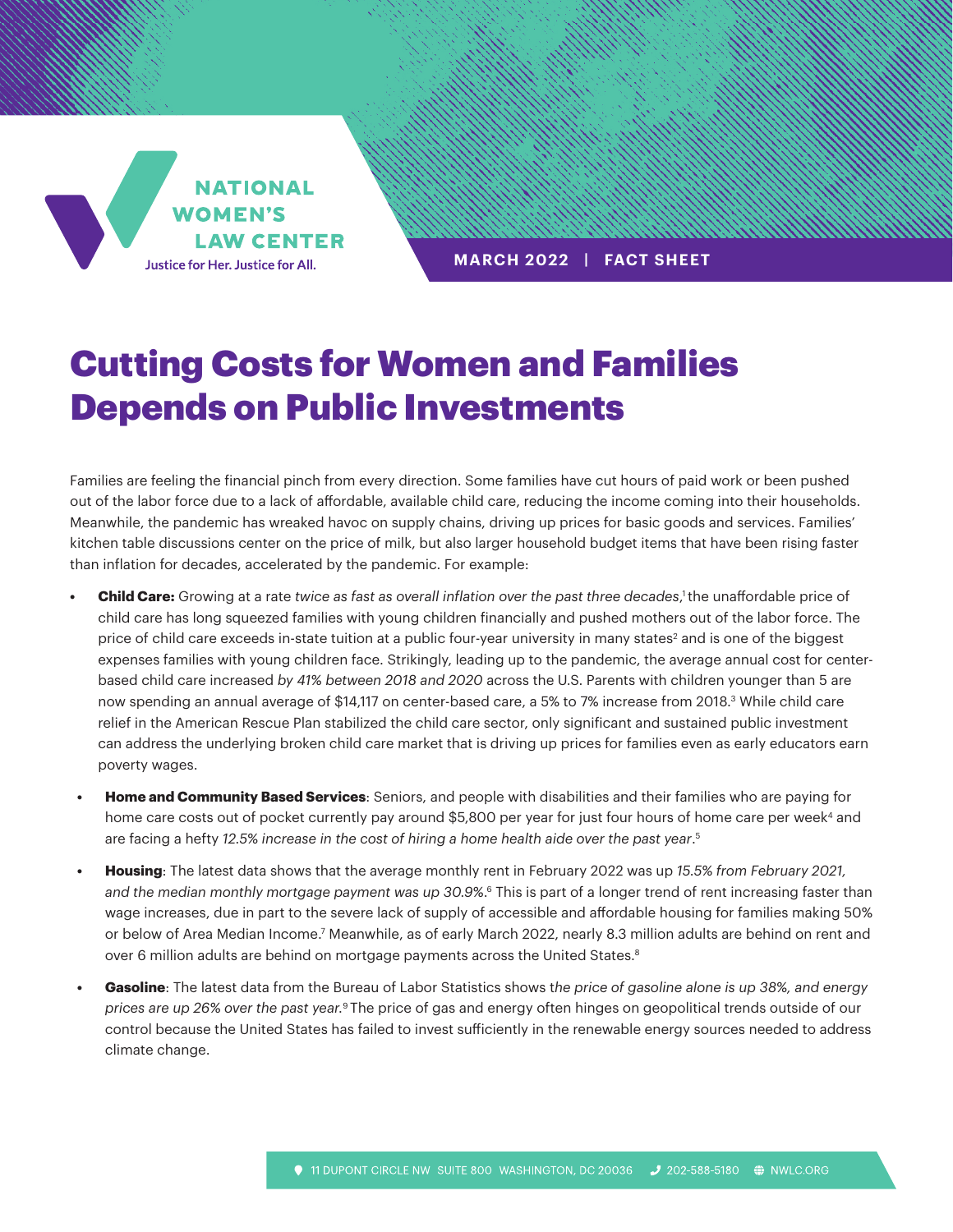**NATIONAL WOMEN'S LAW CENTER** Justice for Her. Justice for All.

**MARCH 2022 | FACT SHEET**

## Cutting Costs for Women and Families Depends on Public Investments

Families are feeling the financial pinch from every direction. Some families have cut hours of paid work or been pushed out of the labor force due to a lack of affordable, available child care, reducing the income coming into their households. Meanwhile, the pandemic has wreaked havoc on supply chains, driving up prices for basic goods and services. Families' kitchen table discussions center on the price of milk, but also larger household budget items that have been rising faster than inflation for decades, accelerated by the pandemic. For example:

- **Child Care:** Growing at a rate *twice as fast as overall inflation over the past three decades,<sup>1</sup> the unaffordable price of* child care has long squeezed families with young children financially and pushed mothers out of the labor force. The price of child care exceeds in-state tuition at a public four-year university in many states<sup>2</sup> and is one of the biggest expenses families with young children face. Strikingly, leading up to the pandemic, the average annual cost for centerbased child care increased *by 41% between 2018 and 2020* across the U.S. Parents with children younger than 5 are now spending an annual average of \$14,117 on center-based care, a 5% to 7% increase from 2018.3 While child care relief in the American Rescue Plan stabilized the child care sector, only significant and sustained public investment can address the underlying broken child care market that is driving up prices for families even as early educators earn poverty wages.
- **• Home and Community Based Services**: Seniors, and people with disabilities and their families who are paying for home care costs out of pocket currently pay around \$5,800 per year for just four hours of home care per week<sup>4</sup> and are facing a hefty *12.5% increase in the cost of hiring a home health aide over the past year*. 5
- **• Housing**: The latest data shows that the average monthly rent in February 2022 was up *15.5% from February 2021, and the median monthly mortgage payment was up 30.9%*. 6 This is part of a longer trend of rent increasing faster than wage increases, due in part to the severe lack of supply of accessible and affordable housing for families making 50% or below of Area Median Income.<sup>7</sup> Meanwhile, as of early March 2022, nearly 8.3 million adults are behind on rent and over 6 million adults are behind on mortgage payments across the United States.<sup>8</sup>
- **• Gasoline**: The latest data from the Bureau of Labor Statistics shows t*he price of gasoline alone is up 38%, and energy prices are up 26% over the past year.*9 The price of gas and energy often hinges on geopolitical trends outside of our control because the United States has failed to invest sufficiently in the renewable energy sources needed to address climate change.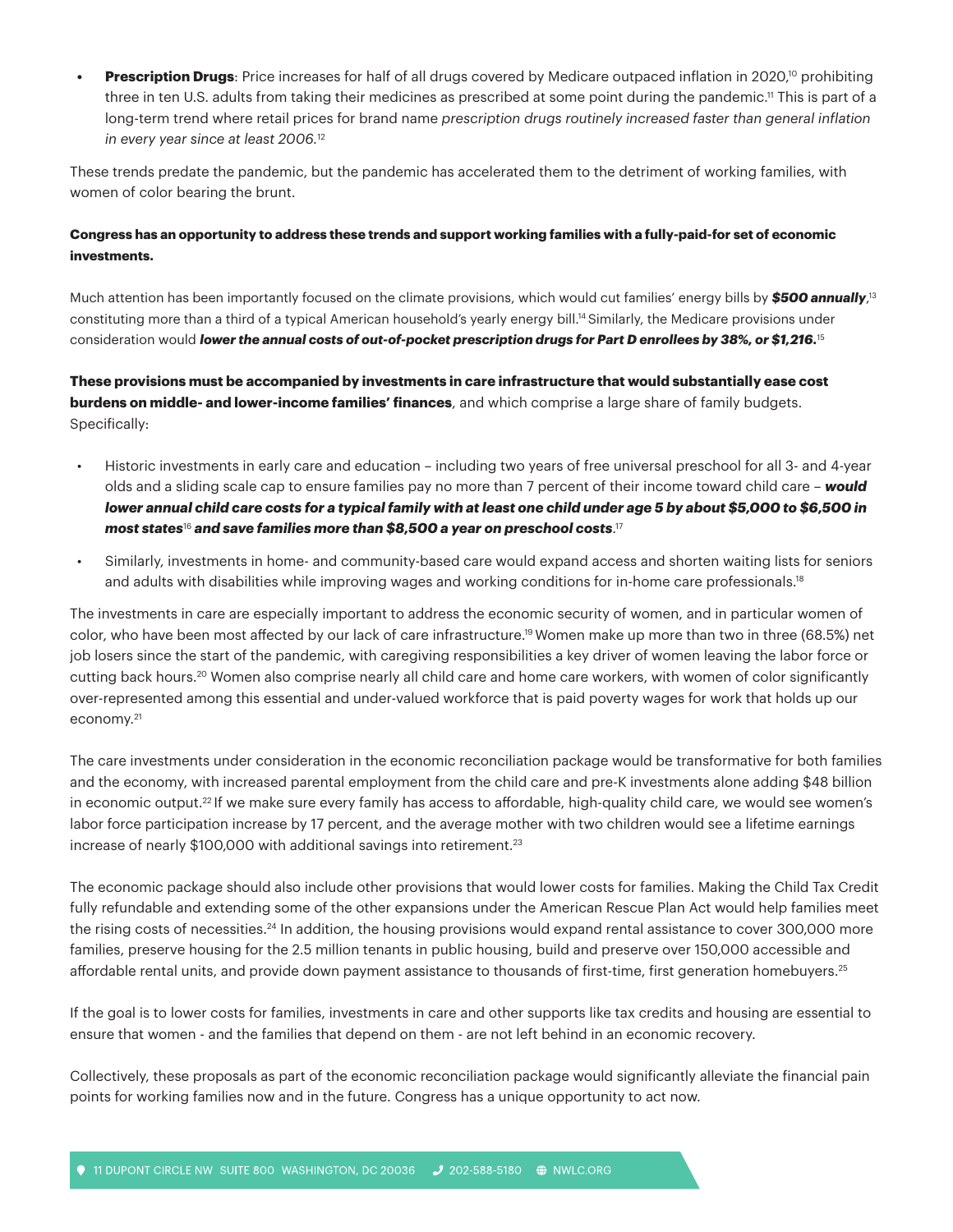**Prescription Drugs**: Price increases for half of all drugs covered by Medicare outpaced inflation in 2020,<sup>10</sup> prohibiting three in ten U.S. adults from taking their medicines as prescribed at some point during the pandemic.11 This is part of a long-term trend where retail prices for brand name *prescription drugs routinely increased faster than general inflation in every year since at least 2006.*<sup>12</sup>

These trends predate the pandemic, but the pandemic has accelerated them to the detriment of working families, with women of color bearing the brunt.

## **Congress has an opportunity to address these trends and support working families with a fully-paid-for set of economic investments.**

Much attention has been importantly focused on the climate provisions, which would cut families' energy bills by **\$500 annually**,<sup>13</sup> constituting more than a third of a typical American household's yearly energy bill.14 Similarly, the Medicare provisions under consideration would *lower the annual costs of out-of-pocket prescription drugs for Part D enrollees by 38%, or \$1,216.*<sup>15</sup>

**These provisions must be accompanied by investments in care infrastructure that would substantially ease cost burdens on middle- and lower-income families' finances**, and which comprise a large share of family budgets. Specifically:

- Historic investments in early care and education including two years of free universal preschool for all 3- and 4-year olds and a sliding scale cap to ensure families pay no more than 7 percent of their income toward child care – *would lower annual child care costs for a typical family with at least one child under age 5 by about \$5,000 to \$6,500 in most states*16 *and save families more than \$8,500 a year on preschool costs*. 17
- Similarly, investments in home- and community-based care would expand access and shorten waiting lists for seniors and adults with disabilities while improving wages and working conditions for in-home care professionals.<sup>18</sup>

The investments in care are especially important to address the economic security of women, and in particular women of color, who have been most affected by our lack of care infrastructure.19 Women make up more than two in three (68.5%) net job losers since the start of the pandemic, with caregiving responsibilities a key driver of women leaving the labor force or cutting back hours.20 Women also comprise nearly all child care and home care workers, with women of color significantly over-represented among this essential and under-valued workforce that is paid poverty wages for work that holds up our economy.21

The care investments under consideration in the economic reconciliation package would be transformative for both families and the economy, with increased parental employment from the child care and pre-K investments alone adding \$48 billion in economic output.<sup>22</sup> If we make sure every family has access to affordable, high-quality child care, we would see women's labor force participation increase by 17 percent, and the average mother with two children would see a lifetime earnings increase of nearly \$100,000 with additional savings into retirement.<sup>23</sup>

The economic package should also include other provisions that would lower costs for families. Making the Child Tax Credit fully refundable and extending some of the other expansions under the American Rescue Plan Act would help families meet the rising costs of necessities.<sup>24</sup> In addition, the housing provisions would expand rental assistance to cover 300,000 more families, preserve housing for the 2.5 million tenants in public housing, build and preserve over 150,000 accessible and affordable rental units, and provide down payment assistance to thousands of first-time, first generation homebuyers.<sup>25</sup>

If the goal is to lower costs for families, investments in care and other supports like tax credits and housing are essential to ensure that women - and the families that depend on them - are not left behind in an economic recovery.

Collectively, these proposals as part of the economic reconciliation package would significantly alleviate the financial pain points for working families now and in the future. Congress has a unique opportunity to act now.